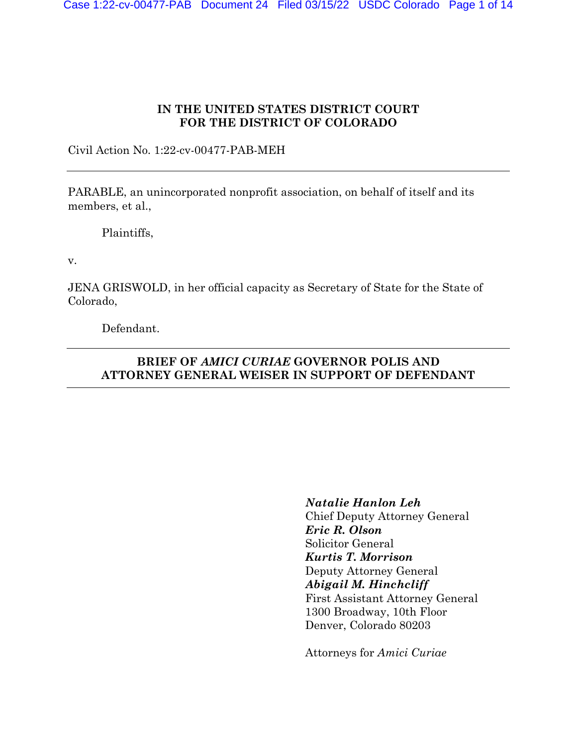# **IN THE UNITED STATES DISTRICT COURT FOR THE DISTRICT OF COLORADO**

Civil Action No. 1:22-cv-00477-PAB-MEH

PARABLE, an unincorporated nonprofit association, on behalf of itself and its members, et al.,

Plaintiffs,

v.

JENA GRISWOLD, in her official capacity as Secretary of State for the State of Colorado,

Defendant.

# **BRIEF OF** *AMICI CURIAE* **GOVERNOR POLIS AND ATTORNEY GENERAL WEISER IN SUPPORT OF DEFENDANT**

*Natalie Hanlon Leh* Chief Deputy Attorney General *Eric R. Olson* Solicitor General *Kurtis T. Morrison* Deputy Attorney General *Abigail M. Hinchcliff* First Assistant Attorney General 1300 Broadway, 10th Floor Denver, Colorado 80203

Attorneys for *Amici Curiae*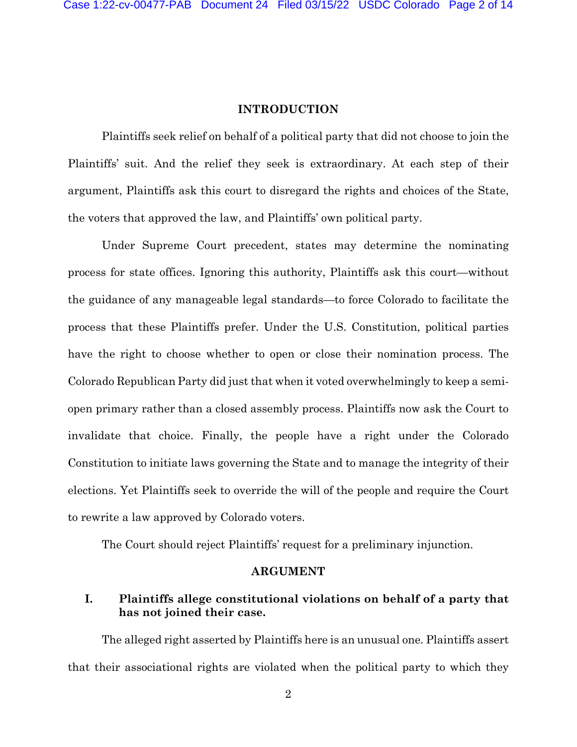#### **INTRODUCTION**

Plaintiffs seek relief on behalf of a political party that did not choose to join the Plaintiffs' suit. And the relief they seek is extraordinary. At each step of their argument, Plaintiffs ask this court to disregard the rights and choices of the State, the voters that approved the law, and Plaintiffs' own political party.

Under Supreme Court precedent, states may determine the nominating process for state offices. Ignoring this authority, Plaintiffs ask this court—without the guidance of any manageable legal standards—to force Colorado to facilitate the process that these Plaintiffs prefer. Under the U.S. Constitution, political parties have the right to choose whether to open or close their nomination process. The Colorado Republican Party did just that when it voted overwhelmingly to keep a semiopen primary rather than a closed assembly process. Plaintiffs now ask the Court to invalidate that choice. Finally, the people have a right under the Colorado Constitution to initiate laws governing the State and to manage the integrity of their elections. Yet Plaintiffs seek to override the will of the people and require the Court to rewrite a law approved by Colorado voters.

The Court should reject Plaintiffs' request for a preliminary injunction.

#### **ARGUMENT**

# **I. Plaintiffs allege constitutional violations on behalf of a party that has not joined their case.**

The alleged right asserted by Plaintiffs here is an unusual one. Plaintiffs assert that their associational rights are violated when the political party to which they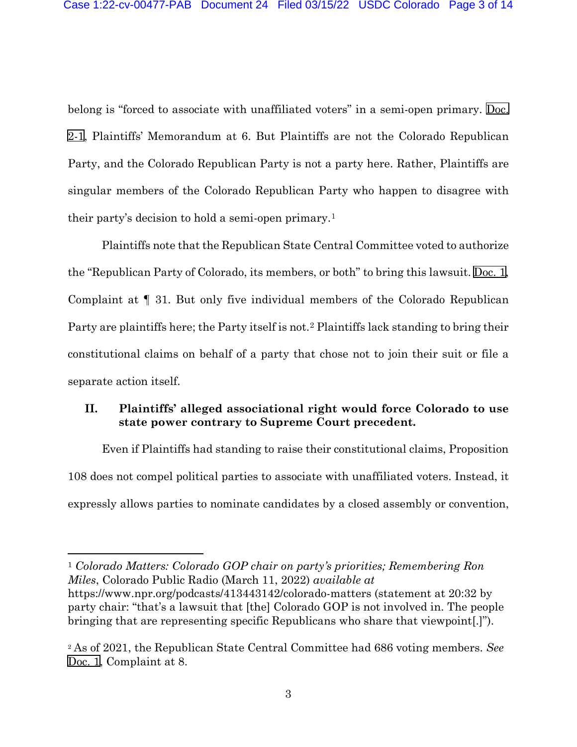belong is "forced to associate with unaffiliated voters" in a semi-open primary. [Doc.](https://cod-ecf.sso.dcn/n/cmecfservices/rest/file/finddoc?caseYear=2022&caseNum=00477&caseType=cv&caseOffice=1&docNum=2&docSeq=1) [2-1](https://cod-ecf.sso.dcn/n/cmecfservices/rest/file/finddoc?caseYear=2022&caseNum=00477&caseType=cv&caseOffice=1&docNum=2&docSeq=1), Plaintiffs' Memorandum at 6. But Plaintiffs are not the Colorado Republican Party, and the Colorado Republican Party is not a party here. Rather, Plaintiffs are singular members of the Colorado Republican Party who happen to disagree with their party's decision to hold a semi-open primary.[1](#page-2-0)

Plaintiffs note that the Republican State Central Committee voted to authorize the "Republican Party of Colorado, its members, or both" to bring this lawsuit. [Doc.](https://cod-ecf.sso.dcn/n/cmecfservices/rest/file/finddoc?caseYear=2022&caseNum=00477&caseType=cv&caseOffice=1&docNum=1) 1, Complaint at ¶ 31. But only five individual members of the Colorado Republican Party are plaintiffs here; the Party itself is not.[2](#page-2-1) Plaintiffs lack standing to bring their constitutional claims on behalf of a party that chose not to join their suit or file a separate action itself.

### **II. Plaintiffs' alleged associational right would force Colorado to use state power contrary to Supreme Court precedent.**

Even if Plaintiffs had standing to raise their constitutional claims, Proposition 108 does not compel political parties to associate with unaffiliated voters. Instead, it expressly allows parties to nominate candidates by a closed assembly or convention,

<span id="page-2-0"></span><sup>1</sup> *Colorado Matters: Colorado GOP chair on party's priorities; Remembering Ron Miles*, Colorado Public Radio (March 11, 2022) *available at*  https://www.npr.org/podcasts/413443142/colorado-matters (statement at 20:32 by party chair: "that's a lawsuit that [the] Colorado GOP is not involved in. The people bringing that are representing specific Republicans who share that viewpoint[.]").

<span id="page-2-1"></span><sup>2</sup> As of 2021, the Republican State Central Committee had 686 voting members. *See*  [Doc. 1](https://cod-ecf.sso.dcn/n/cmecfservices/rest/file/finddoc?caseYear=2022&caseNum=00477&caseType=cv&caseOffice=1&docNum=1), Complaint at 8.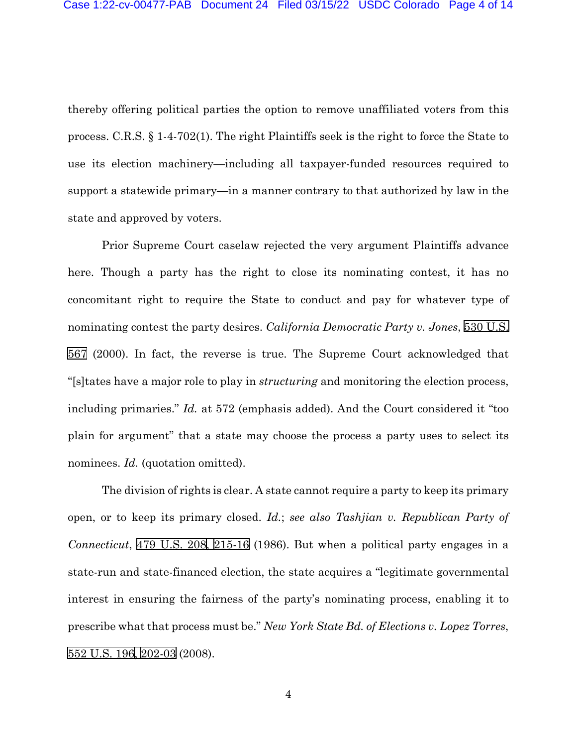thereby offering political parties the option to remove unaffiliated voters from this process. C.R.S. § 1-4-702(1). The right Plaintiffs seek is the right to force the State to use its election machinery—including all taxpayer-funded resources required to support a statewide primary—in a manner contrary to that authorized by law in the state and approved by voters.

Prior Supreme Court caselaw rejected the very argument Plaintiffs advance here. Though a party has the right to close its nominating contest, it has no concomitant right to require the State to conduct and pay for whatever type of nominating contest the party desires. *California Democratic Party v. Jones*, [530 U.S.](http://www.google.com/search?q=530++u.s.++567) [567](http://www.google.com/search?q=530++u.s.++567) (2000). In fact, the reverse is true. The Supreme Court acknowledged that "[s]tates have a major role to play in *structuring* and monitoring the election process, including primaries." *Id.* at 572 (emphasis added). And the Court considered it "too plain for argument" that a state may choose the process a party uses to select its nominees. *Id.* (quotation omitted).

The division of rights is clear. A state cannot require a party to keep its primary open, or to keep its primary closed. *Id.*; *see also Tashjian v. Republican Party of Connecticut*, [479 U.S. 208](http://www.google.com/search?q=479++u.s.++208)[,](http://scholar.google.com/scholar?q=479++u.s.++208&btnG=&hl=en&as_sdt=6) [215-16](http://www.google.com/search?q=215-16) (1986). But when a political party engages in a state-run and state-financed election, the state acquires a "legitimate governmental interest in ensuring the fairness of the party's nominating process, enabling it to prescribe what that process must be." *New York State Bd. of Elections v. Lopez Torres*, [552 U.S. 196](http://www.google.com/search?q=552+u.s.+196)[, 2](http://scholar.google.com/scholar?q=552+u.s.+196&btnG=&hl=en&as_sdt=6)[02-03](http://www.google.com/search?q=202-03) (2008).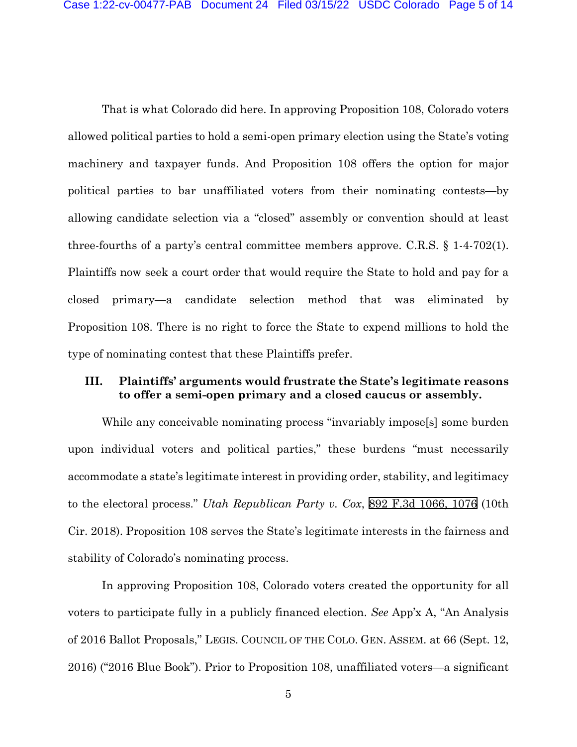That is what Colorado did here. In approving Proposition 108, Colorado voters allowed political parties to hold a semi-open primary election using the State's voting machinery and taxpayer funds. And Proposition 108 offers the option for major political parties to bar unaffiliated voters from their nominating contests—by allowing candidate selection via a "closed" assembly or convention should at least three-fourths of a party's central committee members approve. C.R.S. § 1-4-702(1). Plaintiffs now seek a court order that would require the State to hold and pay for a closed primary—a candidate selection method that was eliminated by Proposition 108. There is no right to force the State to expend millions to hold the type of nominating contest that these Plaintiffs prefer.

### **III. Plaintiffs' arguments would frustrate the State's legitimate reasons to offer a semi-open primary and a closed caucus or assembly.**

While any conceivable nominating process "invariably impose<sup>[9]</sup> some burden upon individual voters and political parties," these burdens "must necessarily accommodate a state's legitimate interest in providing order, stability, and legitimacy to the electoral process." *Utah Republican Party v. Cox*, [892 F.3d 1066, 1076](http://scholar.google.com/scholar?q=892++f.3d++1066&btnG=&hl=en&as_sdt=6) (10th Cir. 2018). Proposition 108 serves the State's legitimate interests in the fairness and stability of Colorado's nominating process.

In approving Proposition 108, Colorado voters created the opportunity for all voters to participate fully in a publicly financed election. *See* App'x A, "An Analysis of 2016 Ballot Proposals," LEGIS. COUNCIL OF THE COLO. GEN. ASSEM. at 66 (Sept. 12, 2016) ("2016 Blue Book"). Prior to Proposition 108, unaffiliated voters—a significant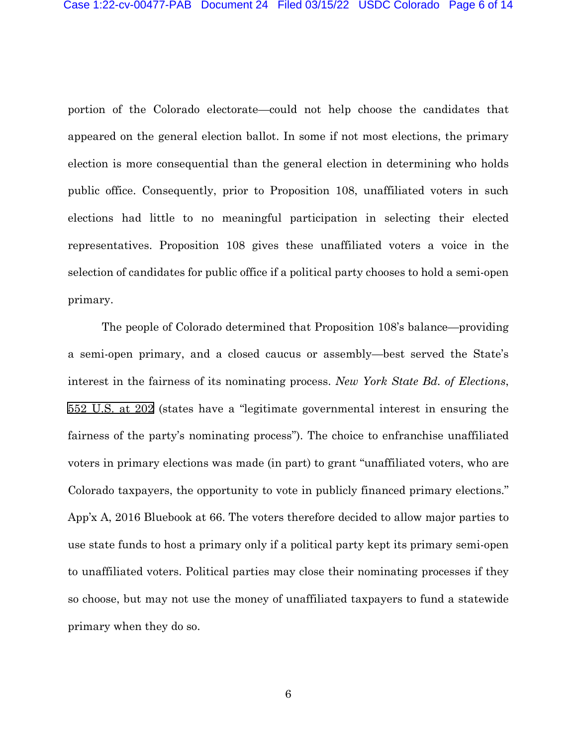portion of the Colorado electorate—could not help choose the candidates that appeared on the general election ballot. In some if not most elections, the primary election is more consequential than the general election in determining who holds public office. Consequently, prior to Proposition 108, unaffiliated voters in such elections had little to no meaningful participation in selecting their elected representatives. Proposition 108 gives these unaffiliated voters a voice in the selection of candidates for public office if a political party chooses to hold a semi-open primary.

The people of Colorado determined that Proposition 108's balance—providing a semi-open primary, and a closed caucus or assembly—best served the State's interest in the fairness of its nominating process. *New York State Bd. of Elections*, [552 U.S. at](http://scholar.google.com/scholar?q=552+u.s.+196&btnG=&hl=en&as_sdt=6) 202 (states have a "legitimate governmental interest in ensuring the fairness of the party's nominating process"). The choice to enfranchise unaffiliated voters in primary elections was made (in part) to grant "unaffiliated voters, who are Colorado taxpayers, the opportunity to vote in publicly financed primary elections." App'x A, 2016 Bluebook at 66. The voters therefore decided to allow major parties to use state funds to host a primary only if a political party kept its primary semi-open to unaffiliated voters. Political parties may close their nominating processes if they so choose, but may not use the money of unaffiliated taxpayers to fund a statewide primary when they do so.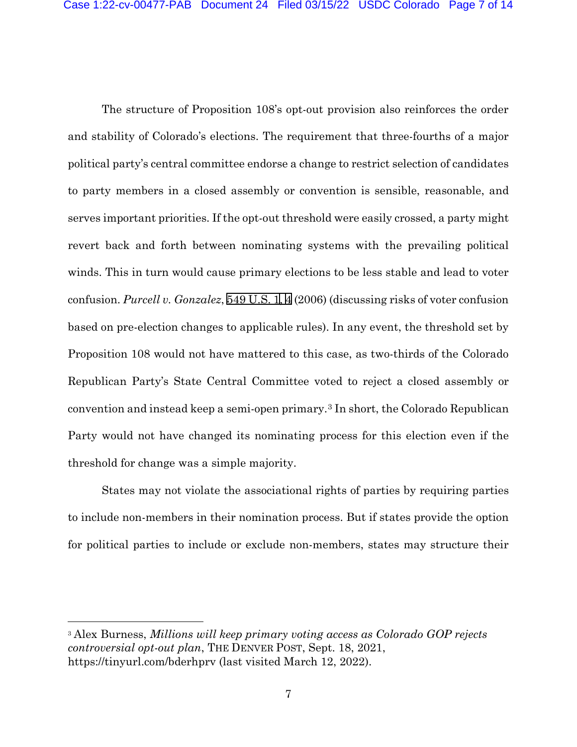The structure of Proposition 108's opt-out provision also reinforces the order and stability of Colorado's elections. The requirement that three-fourths of a major political party's central committee endorse a change to restrict selection of candidates to party members in a closed assembly or convention is sensible, reasonable, and serves important priorities. If the opt-out threshold were easily crossed, a party might revert back and forth between nominating systems with the prevailing political winds. This in turn would cause primary elections to be less stable and lead to voter confusion. *Purcell v. Gonzalez*, [549 U.S. 1](http://www.google.com/search?q=549++u.s.++1)[, 4](http://scholar.google.com/scholar?q=549++u.s.++1&btnG=&hl=en&as_sdt=6)(2006) (discussing risks of voter confusion based on pre-election changes to applicable rules). In any event, the threshold set by Proposition 108 would not have mattered to this case, as two-thirds of the Colorado Republican Party's State Central Committee voted to reject a closed assembly or convention and instead keep a semi-open primary.[3](#page-6-0) In short, the Colorado Republican Party would not have changed its nominating process for this election even if the threshold for change was a simple majority.

States may not violate the associational rights of parties by requiring parties to include non-members in their nomination process. But if states provide the option for political parties to include or exclude non-members, states may structure their

<span id="page-6-0"></span><sup>3</sup> Alex Burness, *Millions will keep primary voting access as Colorado GOP rejects controversial opt-out plan*, THE DENVER POST, Sept. 18, 2021, https://tinyurl.com/bderhprv (last visited March 12, 2022).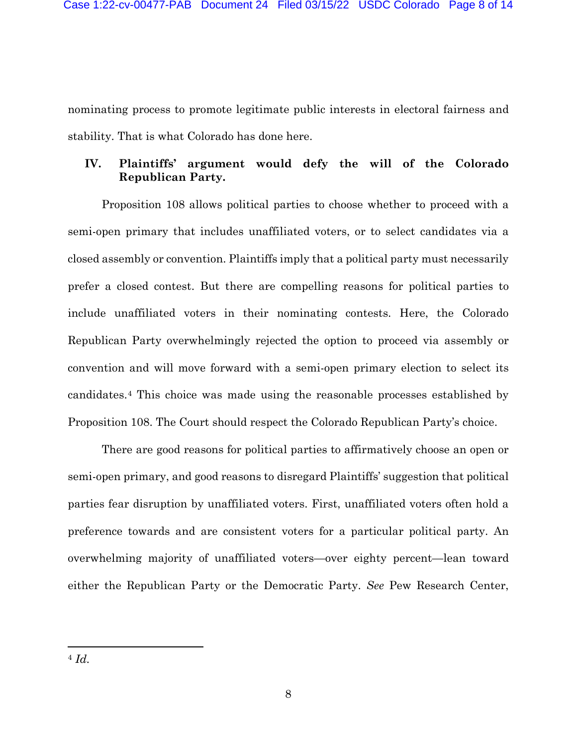nominating process to promote legitimate public interests in electoral fairness and stability. That is what Colorado has done here.

### **IV. Plaintiffs' argument would defy the will of the Colorado Republican Party.**

Proposition 108 allows political parties to choose whether to proceed with a semi-open primary that includes unaffiliated voters, or to select candidates via a closed assembly or convention. Plaintiffs imply that a political party must necessarily prefer a closed contest. But there are compelling reasons for political parties to include unaffiliated voters in their nominating contests. Here, the Colorado Republican Party overwhelmingly rejected the option to proceed via assembly or convention and will move forward with a semi-open primary election to select its candidates.[4](#page-7-0) This choice was made using the reasonable processes established by Proposition 108. The Court should respect the Colorado Republican Party's choice.

<span id="page-7-0"></span>There are good reasons for political parties to affirmatively choose an open or semi-open primary, and good reasons to disregard Plaintiffs' suggestion that political parties fear disruption by unaffiliated voters. First, unaffiliated voters often hold a preference towards and are consistent voters for a particular political party. An overwhelming majority of unaffiliated voters—over eighty percent—lean toward either the Republican Party or the Democratic Party. *See* Pew Research Center,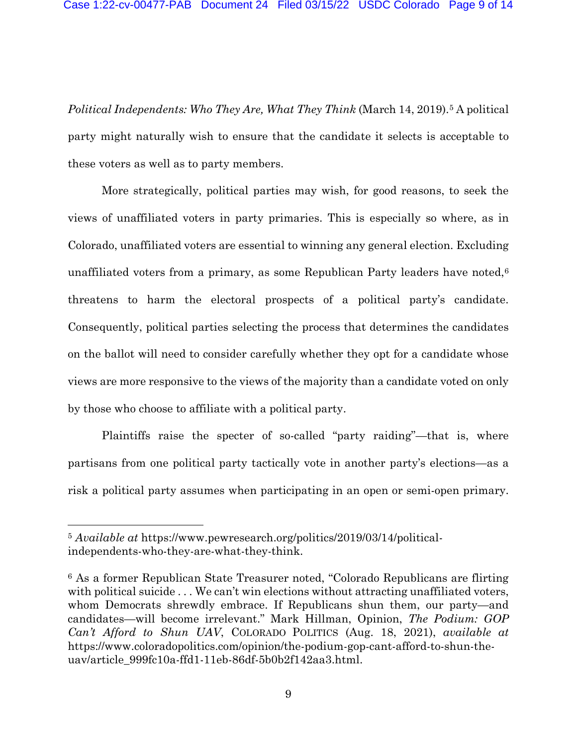*Political Independents: Who They Are, What They Think* (March 14, 2019).<sup>[5](#page-8-0)</sup> A political party might naturally wish to ensure that the candidate it selects is acceptable to these voters as well as to party members.

More strategically, political parties may wish, for good reasons, to seek the views of unaffiliated voters in party primaries. This is especially so where, as in Colorado, unaffiliated voters are essential to winning any general election. Excluding unaffiliated voters from a primary, as some Republican Party leaders have noted,<sup>[6](#page-8-1)</sup> threatens to harm the electoral prospects of a political party's candidate. Consequently, political parties selecting the process that determines the candidates on the ballot will need to consider carefully whether they opt for a candidate whose views are more responsive to the views of the majority than a candidate voted on only by those who choose to affiliate with a political party.

Plaintiffs raise the specter of so-called "party raiding"—that is, where partisans from one political party tactically vote in another party's elections—as a risk a political party assumes when participating in an open or semi-open primary.

<span id="page-8-0"></span><sup>5</sup> *Available at* https://www.pewresearch.org/politics/2019/03/14/politicalindependents-who-they-are-what-they-think.

<span id="page-8-1"></span><sup>6</sup> As a former Republican State Treasurer noted, "Colorado Republicans are flirting with political suicide ... We can't win elections without attracting unaffiliated voters, whom Democrats shrewdly embrace. If Republicans shun them, our party—and candidates—will become irrelevant." Mark Hillman, Opinion, *The Podium: GOP Can't Afford to Shun UAV*, COLORADO POLITICS (Aug. 18, 2021), *available at*  https://www.coloradopolitics.com/opinion/the-podium-gop-cant-afford-to-shun-theuav/article\_999fc10a-ffd1-11eb-86df-5b0b2f142aa3.html.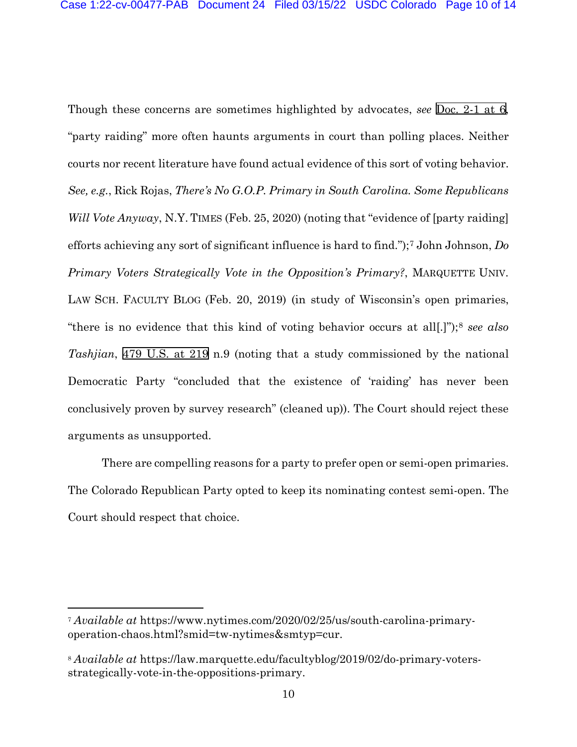Though these concerns are sometimes highlighted by advocates, *see* [Doc. 2-1 at 6,](https://cod-ecf.sso.dcn/n/cmecfservices/rest/file/finddoc?caseYear=2022&caseNum=00477&caseType=cv&caseOffice=1&docNum=2&docSeq=1#page=6) "party raiding" more often haunts arguments in court than polling places. Neither courts nor recent literature have found actual evidence of this sort of voting behavior. *See, e.g.*, Rick Rojas, *There's No G.O.P. Primary in South Carolina. Some Republicans Will Vote Anyway*, N.Y. TIMES (Feb. 25, 2020) (noting that "evidence of [party raiding] efforts achieving any sort of significant influence is hard to find.");[7](#page-9-0) John Johnson, *Do Primary Voters Strategically Vote in the Opposition's Primary?*, MARQUETTE UNIV. LAW SCH. FACULTY BLOG (Feb. 20, 2019) (in study of Wisconsin's open primaries, "there is no evidence that this kind of voting behavior occurs at all[.]");[8](#page-9-1) *see also Tashjian*, [479 U.S. at 219](http://scholar.google.com/scholar?q=479+u.s.+208&btnG=&hl=en&as_sdt=6) n.9 (noting that a study commissioned by the national Democratic Party "concluded that the existence of 'raiding' has never been conclusively proven by survey research" (cleaned up)). The Court should reject these arguments as unsupported.

There are compelling reasons for a party to prefer open or semi-open primaries. The Colorado Republican Party opted to keep its nominating contest semi-open. The Court should respect that choice.

<span id="page-9-0"></span><sup>7</sup> *Available at* https://www.nytimes.com/2020/02/25/us/south-carolina-primaryoperation-chaos.html?smid=tw-nytimes&smtyp=cur.

<span id="page-9-1"></span><sup>8</sup> *Available at* https://law.marquette.edu/facultyblog/2019/02/do-primary-votersstrategically-vote-in-the-oppositions-primary.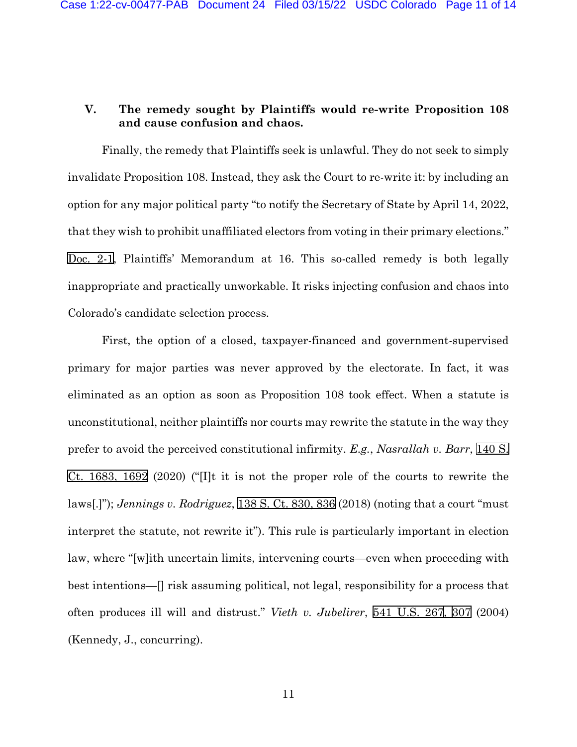# **V. The remedy sought by Plaintiffs would re-write Proposition 108 and cause confusion and chaos.**

Finally, the remedy that Plaintiffs seek is unlawful. They do not seek to simply invalidate Proposition 108. Instead, they ask the Court to re-write it: by including an option for any major political party "to notify the Secretary of State by April 14, 2022, that they wish to prohibit unaffiliated electors from voting in their primary elections." [Doc.](https://cod-ecf.sso.dcn/n/cmecfservices/rest/file/finddoc?caseYear=2022&caseNum=00477&caseType=cv&caseOffice=1&docNum=2&docSeq=1) 2-1, Plaintiffs' Memorandum at 16. This so-called remedy is both legally inappropriate and practically unworkable. It risks injecting confusion and chaos into Colorado's candidate selection process.

First, the option of a closed, taxpayer-financed and government-supervised primary for major parties was never approved by the electorate. In fact, it was eliminated as an option as soon as Proposition 108 took effect. When a statute is unconstitutional, neither plaintiffs nor courts may rewrite the statute in the way they prefer to avoid the perceived constitutional infirmity. *E.g.*, *Nasrallah v. Barr*, [140 S.](http://scholar.google.com/scholar?q=140++s.++ct.+1683&btnG=&hl=en&as_sdt=6)  [Ct. 1683, 1692](http://scholar.google.com/scholar?q=140++s.++ct.+1683&btnG=&hl=en&as_sdt=6) (2020) ("[I]t it is not the proper role of the courts to rewrite the laws[.]"); *Jennings v. Rodriguez*, [138 S. Ct. 830, 836](http://scholar.google.com/scholar?q=138++s.++ct.++830&btnG=&hl=en&as_sdt=6) (2018) (noting that a court "must interpret the statute, not rewrite it"). This rule is particularly important in election law, where "[w]ith uncertain limits, intervening courts—even when proceeding with best intentions—[] risk assuming political, not legal, responsibility for a process that often produces ill will and distrust." *Vieth v. Jubelirer*, [541 U.S. 26](http://www.google.com/search?q=541++u.s.++267)[7, 3](http://scholar.google.com/scholar?q=541++u.s.++267&btnG=&hl=en&as_sdt=6)[07](http://www.google.com/search?q=307) (2004) (Kennedy, J., concurring).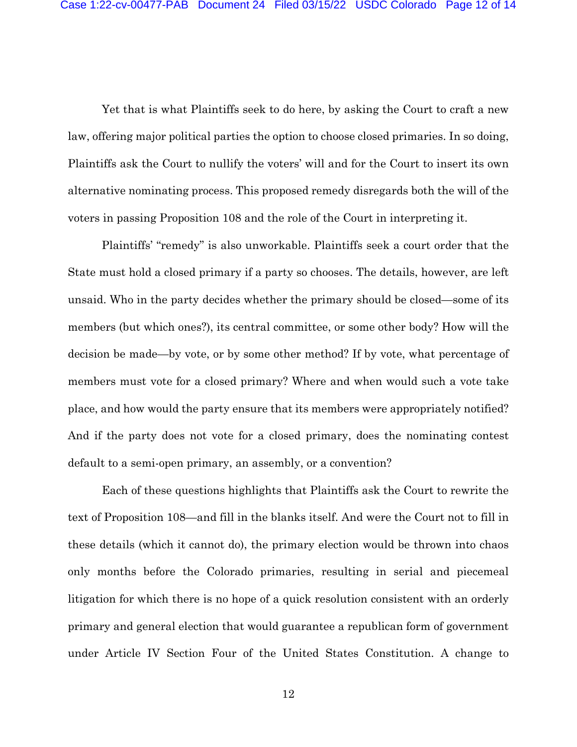Yet that is what Plaintiffs seek to do here, by asking the Court to craft a new law, offering major political parties the option to choose closed primaries. In so doing, Plaintiffs ask the Court to nullify the voters' will and for the Court to insert its own alternative nominating process. This proposed remedy disregards both the will of the voters in passing Proposition 108 and the role of the Court in interpreting it.

Plaintiffs' "remedy" is also unworkable. Plaintiffs seek a court order that the State must hold a closed primary if a party so chooses. The details, however, are left unsaid. Who in the party decides whether the primary should be closed—some of its members (but which ones?), its central committee, or some other body? How will the decision be made—by vote, or by some other method? If by vote, what percentage of members must vote for a closed primary? Where and when would such a vote take place, and how would the party ensure that its members were appropriately notified? And if the party does not vote for a closed primary, does the nominating contest default to a semi-open primary, an assembly, or a convention?

Each of these questions highlights that Plaintiffs ask the Court to rewrite the text of Proposition 108—and fill in the blanks itself. And were the Court not to fill in these details (which it cannot do), the primary election would be thrown into chaos only months before the Colorado primaries, resulting in serial and piecemeal litigation for which there is no hope of a quick resolution consistent with an orderly primary and general election that would guarantee a republican form of government under Article IV Section Four of the United States Constitution. A change to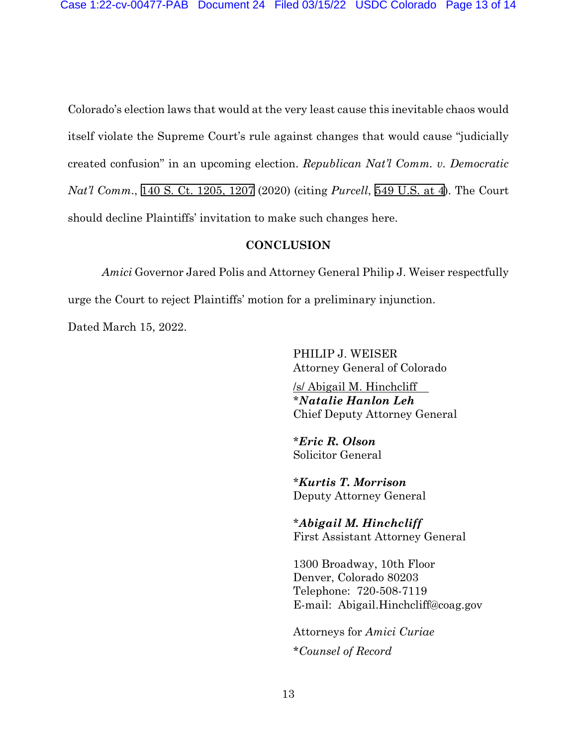Colorado's election laws that would at the very least cause this inevitable chaos would itself violate the Supreme Court's rule against changes that would cause "judicially created confusion" in an upcoming election. *Republican Nat'l Comm. v. Democratic Nat'l Comm*., [140 S. Ct. 1205, 1207](http://scholar.google.com/scholar?q=140++s.++ct.++1205&btnG=&hl=en&as_sdt=6) (2020) (citing *Purcell*, [549 U.S.](http://scholar.google.com/scholar?q=549+u.s.+1&btnG=&hl=en&as_sdt=6) at 4). The Court should decline Plaintiffs' invitation to make such changes here.

#### **CONCLUSION**

*Amici* Governor Jared Polis and Attorney General Philip J. Weiser respectfully urge the Court to reject Plaintiffs' motion for a preliminary injunction.

Dated March 15, 2022.

PHILIP J. WEISER Attorney General of Colorado

/s/ Abigail M. Hinchcliff \**Natalie Hanlon Leh* Chief Deputy Attorney General

\**Eric R. Olson* Solicitor General

\**Kurtis T. Morrison* Deputy Attorney General

\**Abigail M. Hinchcliff* First Assistant Attorney General

1300 Broadway, 10th Floor Denver, Colorado 80203 Telephone: 720-508-7119 E-mail: Abigail.Hinchcliff@coag.gov

Attorneys for *Amici Curiae* \**Counsel of Record*